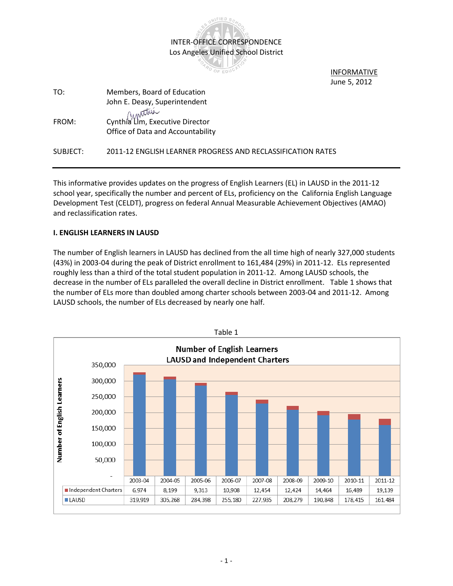

 INFORMATIVE June 5, 2012

| TO:      | Members, Board of Education                                          |
|----------|----------------------------------------------------------------------|
|          | John E. Deasy, Superintendent                                        |
| FROM:    | Cynthia Lim, Executive Director<br>Office of Data and Accountability |
| SUBJECT: | 2011-12 ENGLISH LEARNER PROGRESS AND RECLASSIFICATION RATES          |

This informative provides updates on the progress of English Learners (EL) in LAUSD in the 2011-12 school year, specifically the number and percent of ELs, proficiency on the California English Language Development Test (CELDT), progress on federal Annual Measurable Achievement Objectives (AMAO) and reclassification rates.

### **I. ENGLISH LEARNERS IN LAUSD**

The number of English learners in LAUSD has declined from the all time high of nearly 327,000 students (43%) in 2003-04 during the peak of District enrollment to 161,484 (29%) in 2011-12. ELs represented roughly less than a third of the total student population in 2011-12. Among LAUSD schools, the decrease in the number of ELs paralleled the overall decline in District enrollment. Table 1 shows that the number of ELs more than doubled among charter schools between 2003-04 and 2011-12. Among LAUSD schools, the number of ELs decreased by nearly one half.

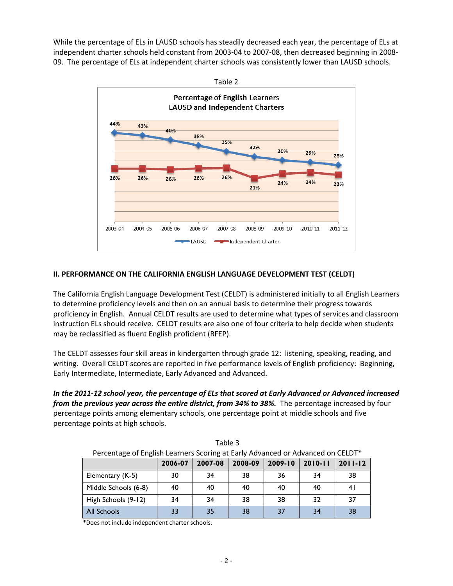While the percentage of ELs in LAUSD schools has steadily decreased each year, the percentage of ELs at independent charter schools held constant from 2003-04 to 2007-08, then decreased beginning in 2008- 09. The percentage of ELs at independent charter schools was consistently lower than LAUSD schools.



# **II. PERFORMANCE ON THE CALIFORNIA ENGLISH LANGUAGE DEVELOPMENT TEST (CELDT)**

The California English Language Development Test (CELDT) is administered initially to all English Learners to determine proficiency levels and then on an annual basis to determine their progress towards proficiency in English. Annual CELDT results are used to determine what types of services and classroom instruction ELs should receive. CELDT results are also one of four criteria to help decide when students may be reclassified as fluent English proficient (RFEP).

The CELDT assesses four skill areas in kindergarten through grade 12: listening, speaking, reading, and writing. Overall CELDT scores are reported in five performance levels of English proficiency: Beginning, Early Intermediate, Intermediate, Early Advanced and Advanced.

*In the 2011-12 school year, the percentage of ELs that scored at Early Advanced or Advanced increased from the previous year across the entire district, from 34% to 38%.* The percentage increased by four percentage points among elementary schools, one percentage point at middle schools and five percentage points at high schools.

|                      | 2006-07 | 2007-08 | 2008-09 | $2009 - 10$ | $2010 - 11$ | $2011 - 12$ |
|----------------------|---------|---------|---------|-------------|-------------|-------------|
| Elementary (K-5)     | 30      | 34      | 38      | 36          | 34          | 38          |
| Middle Schools (6-8) | 40      | 40      | 40      | 40          | 40          | 4 I         |
| High Schools (9-12)  | 34      | 34      | 38      | 38          | 32          | 37          |
| <b>All Schools</b>   | 33      | 35      | 38      | 37          | 34          | 38          |

Table 3 Percentage of English Learners Scoring at Early Advanced or Advanced on CELDT\*

\*Does not include independent charter schools.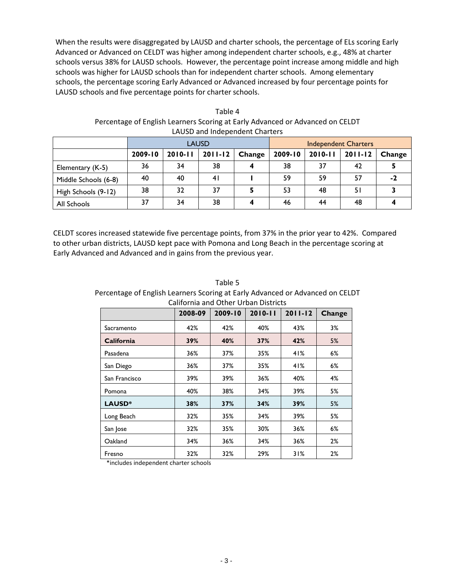When the results were disaggregated by LAUSD and charter schools, the percentage of ELs scoring Early Advanced or Advanced on CELDT was higher among independent charter schools, e.g., 48% at charter schools versus 38% for LAUSD schools. However, the percentage point increase among middle and high schools was higher for LAUSD schools than for independent charter schools. Among elementary schools, the percentage scoring Early Advanced or Advanced increased by four percentage points for LAUSD schools and five percentage points for charter schools.

|                      | <b>LAUSD</b> |                                      |    |  | <b>Independent Charters</b> |             |             |        |
|----------------------|--------------|--------------------------------------|----|--|-----------------------------|-------------|-------------|--------|
|                      | 2009-10      | $2011 - 12$<br>$2010 - 11$<br>Change |    |  | 2009-10                     | $2010 - 11$ | $2011 - 12$ | Change |
| Elementary (K-5)     | 36           | 34                                   | 38 |  | 38                          | 37          | 42          |        |
| Middle Schools (6-8) | 40           | 40                                   | 41 |  | 59                          | 59          | 57          | -2     |
| High Schools (9-12)  | 38           | 32                                   | 37 |  | 53                          | 48          | 51          |        |
| All Schools          | 37           | 34                                   | 38 |  | 46                          | 44          | 48          |        |

Table 4 Percentage of English Learners Scoring at Early Advanced or Advanced on CELDT LAUSD and Independent Charters

CELDT scores increased statewide five percentage points, from 37% in the prior year to 42%. Compared to other urban districts, LAUSD kept pace with Pomona and Long Beach in the percentage scoring at Early Advanced and Advanced and in gains from the previous year.

#### Table 5 Percentage of English Learners Scoring at Early Advanced or Advanced on CELDT California and Other Urban Districts

|                   | 2008-09 | 2009-10 | 2010-11 | $2011 - 12$ | Change |
|-------------------|---------|---------|---------|-------------|--------|
| Sacramento        | 42%     | 42%     | 40%     | 43%         | 3%     |
| <b>California</b> | 39%     | 40%     | 37%     | 42%         | 5%     |
| Pasadena          | 36%     | 37%     | 35%     | 41%         | 6%     |
| San Diego         | 36%     | 37%     | 35%     | 41%         | 6%     |
| San Francisco     | 39%     | 39%     | 36%     | 40%         | 4%     |
| Pomona            | 40%     | 38%     | 34%     | 39%         | 5%     |
| LAUSD*            | 38%     | 37%     | 34%     | 39%         | 5%     |
| Long Beach        | 32%     | 35%     | 34%     | 39%         | 5%     |
| San Jose          | 32%     | 35%     | 30%     | 36%         | 6%     |
| Oakland           | 34%     | 36%     | 34%     | 36%         | 2%     |
| Fresno            | 32%     | 32%     | 29%     | 31%         | 2%     |

\*includes independent charter schools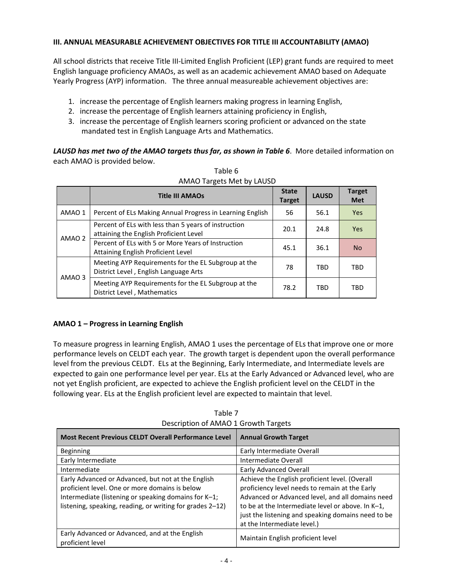# **III. ANNUAL MEASURABLE ACHIEVEMENT OBJECTIVES FOR TITLE III ACCOUNTABILITY (AMAO)**

All school districts that receive Title III-Limited English Proficient (LEP) grant funds are required to meet English language proficiency AMAOs, as well as an academic achievement AMAO based on Adequate Yearly Progress (AYP) information. The three annual measureable achievement objectives are:

- 1. increase the percentage of English learners making progress in learning English,
- 2. increase the percentage of English learners attaining proficiency in English,
- 3. increase the percentage of English learners scoring proficient or advanced on the state mandated test in English Language Arts and Mathematics.

*LAUSD has met two of the AMAO targets thus far, as shown in Table 6*. More detailed information on each AMAO is provided below.

|        | <b>Title III AMAOs</b>                                                                         | <b>State</b><br><b>Target</b> | <b>LAUSD</b> | <b>Target</b><br><b>Met</b> |
|--------|------------------------------------------------------------------------------------------------|-------------------------------|--------------|-----------------------------|
| AMAO 1 | Percent of ELs Making Annual Progress in Learning English                                      | 56                            | 56.1         | Yes                         |
| AMAO 2 | Percent of ELs with less than 5 years of instruction<br>attaining the English Proficient Level | 20.1                          | 24.8         | <b>Yes</b>                  |
|        | Percent of ELs with 5 or More Years of Instruction<br>Attaining English Proficient Level       | 45.1                          | 36.1         | <b>No</b>                   |
| AMAO 3 | Meeting AYP Requirements for the EL Subgroup at the<br>District Level, English Language Arts   | 78                            | TBD          | <b>TBD</b>                  |
|        | Meeting AYP Requirements for the EL Subgroup at the<br>District Level, Mathematics             | 78.2                          | <b>TRD</b>   | <b>TBD</b>                  |

| Table 6                   |  |  |  |  |  |  |
|---------------------------|--|--|--|--|--|--|
| AMAO Targets Met by LAUSD |  |  |  |  |  |  |

### **AMAO 1 – Progress in Learning English**

To measure progress in learning English, AMAO 1 uses the percentage of ELs that improve one or more performance levels on CELDT each year. The growth target is dependent upon the overall performance level from the previous CELDT. ELs at the Beginning, Early Intermediate, and Intermediate levels are expected to gain one performance level per year. ELs at the Early Advanced or Advanced level, who are not yet English proficient, are expected to achieve the English proficient level on the CELDT in the following year. ELs at the English proficient level are expected to maintain that level.

| <b>Most Recent Previous CELDT Overall Performance Level</b>                                                                                                                                                               | <b>Annual Growth Target</b>                                                                                                                                                                                                                                                                    |  |  |  |  |  |
|---------------------------------------------------------------------------------------------------------------------------------------------------------------------------------------------------------------------------|------------------------------------------------------------------------------------------------------------------------------------------------------------------------------------------------------------------------------------------------------------------------------------------------|--|--|--|--|--|
| <b>Beginning</b>                                                                                                                                                                                                          | Early Intermediate Overall                                                                                                                                                                                                                                                                     |  |  |  |  |  |
| Early Intermediate                                                                                                                                                                                                        | Intermediate Overall                                                                                                                                                                                                                                                                           |  |  |  |  |  |
| Intermediate                                                                                                                                                                                                              | Early Advanced Overall                                                                                                                                                                                                                                                                         |  |  |  |  |  |
| Early Advanced or Advanced, but not at the English<br>proficient level. One or more domains is below<br>Intermediate (listening or speaking domains for K-1;<br>listening, speaking, reading, or writing for grades 2-12) | Achieve the English proficient level. (Overall<br>proficiency level needs to remain at the Early<br>Advanced or Advanced level, and all domains need<br>to be at the Intermediate level or above. In K-1,<br>just the listening and speaking domains need to be<br>at the Intermediate level.) |  |  |  |  |  |
| Early Advanced or Advanced, and at the English<br>proficient level                                                                                                                                                        | Maintain English proficient level                                                                                                                                                                                                                                                              |  |  |  |  |  |

Table 7 Description of AMAO 1 Growth Targets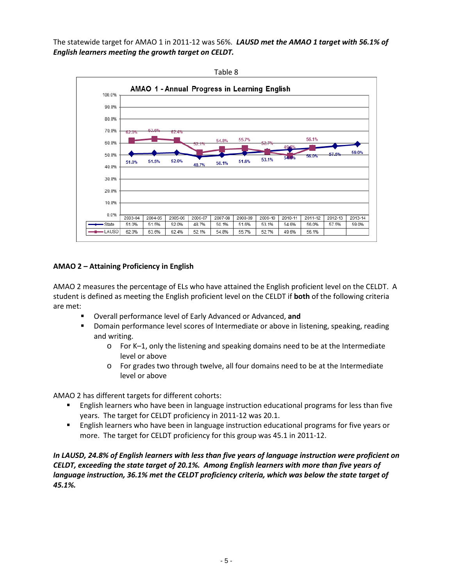The statewide target for AMAO 1 in 2011-12 was 56%. *LAUSD met the AMAO 1 target with 56.1% of English learners meeting the growth target on CELDT.* 



### **AMAO 2 – Attaining Proficiency in English**

AMAO 2 measures the percentage of ELs who have attained the English proficient level on the CELDT. A student is defined as meeting the English proficient level on the CELDT if **both** of the following criteria are met:

- Overall performance level of Early Advanced or Advanced, **and**
- Domain performance level scores of Intermediate or above in listening, speaking, reading and writing.
	- o For K–1, only the listening and speaking domains need to be at the Intermediate level or above
	- o For grades two through twelve, all four domains need to be at the Intermediate level or above

AMAO 2 has different targets for different cohorts:

- English learners who have been in language instruction educational programs for less than five years. The target for CELDT proficiency in 2011-12 was 20.1.
- English learners who have been in language instruction educational programs for five years or more. The target for CELDT proficiency for this group was 45.1 in 2011-12.

*In LAUSD, 24.8% of English learners with less than five years of language instruction were proficient on CELDT, exceeding the state target of 20.1%. Among English learners with more than five years of language instruction, 36.1% met the CELDT proficiency criteria, which was below the state target of 45.1%.*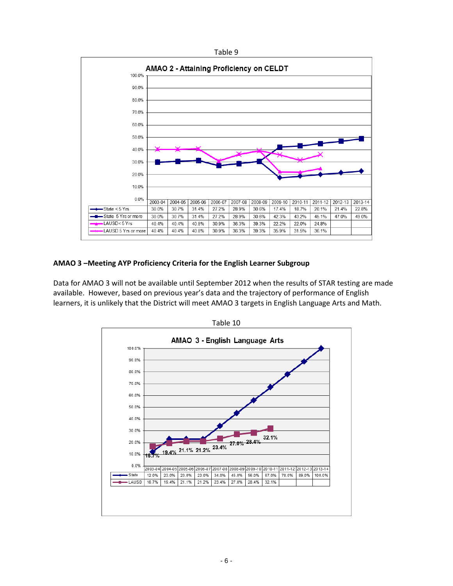

# **AMAO 3 –Meeting AYP Proficiency Criteria for the English Learner Subgroup**

Data for AMAO 3 will not be available until September 2012 when the results of STAR testing are made available. However, based on previous year's data and the trajectory of performance of English learners, it is unlikely that the District will meet AMAO 3 targets in English Language Arts and Math.

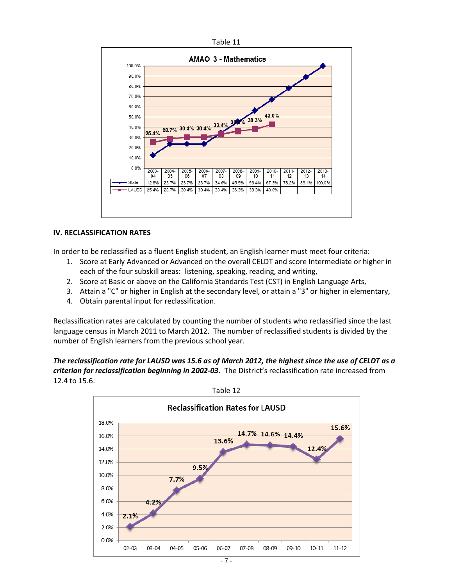

### **IV. RECLASSIFICATION RATES**

In order to be reclassified as a fluent English student, an English learner must meet four criteria:

- 1. Score at Early Advanced or Advanced on the overall CELDT and score Intermediate or higher in each of the four subskill areas: listening, speaking, reading, and writing,
- 2. Score at Basic or above on the California Standards Test (CST) in English Language Arts,
- 3. Attain a "C" or higher in English at the secondary level, or attain a "3" or higher in elementary,
- 4. Obtain parental input for reclassification.

Reclassification rates are calculated by counting the number of students who reclassified since the last language census in March 2011 to March 2012. The number of reclassified students is divided by the number of English learners from the previous school year.

*The reclassification rate for LAUSD was 15.6 as of March 2012, the highest since the use of CELDT as a criterion for reclassification beginning in 2002-03.* The District's reclassification rate increased from 12.4 to 15.6.

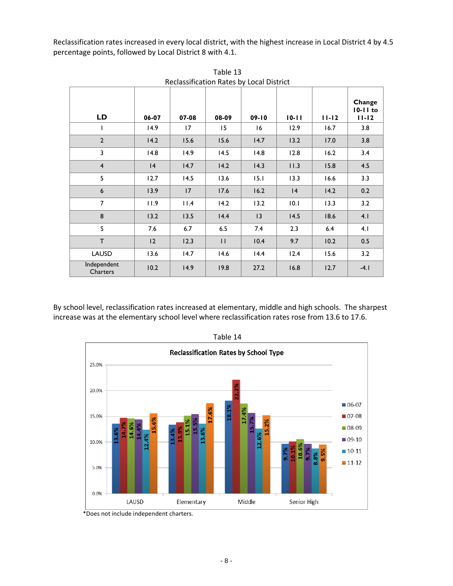Reclassification rates increased in every local district, with the highest increase in Local District 4 by 4.5 percentage points, followed by Local District 8 with 4.1.

| <u>Recrussineation nates by Local District</u> |       |           |              |           |           |           |                                   |  |  |
|------------------------------------------------|-------|-----------|--------------|-----------|-----------|-----------|-----------------------------------|--|--|
| LD                                             | 06-07 | $07 - 08$ | 08-09        | $09 - 10$ | $10 - 11$ | $11 - 12$ | Change<br>$10-11$ to<br>$11 - 12$ |  |  |
| T                                              | 14.9  | 17        | 15           | 16        | 12.9      | 16.7      | 3.8                               |  |  |
| $\mathbf{2}$                                   | 14.2  | 15.6      | 15.6         | 14.7      | 13.2      | 17.0      | 3.8                               |  |  |
| 3                                              | 14.8  | 14.9      | 14.5         | 14.8      | 12.8      | 16.2      | 3.4                               |  |  |
| $\overline{4}$                                 | 4     | 14.7      | 14.2         | 14.3      | 11.3      | 15.8      | 4.5                               |  |  |
| 5                                              | 12.7  | 14.5      | 13.6         | 15.1      | 13.3      | 16.6      | 3.3                               |  |  |
| 6                                              | 13.9  | 17        | 17.6         | 16.2      | 4         | 14.2      | 0.2                               |  |  |
| $\overline{7}$                                 | 11.9  | 11.4      | 14.2         | 13.2      | 10.1      | 13.3      | 3.2                               |  |  |
| 8                                              | 13.2  | 13.5      | 14.4         | 3         | 14.5      | 18.6      | 4.1                               |  |  |
| S                                              | 7.6   | 6.7       | 6.5          | 7.4       | 2.3       | 6.4       | 4.1                               |  |  |
| T                                              | 12    | 12.3      | $\mathbf{H}$ | 10.4      | 9.7       | 10.2      | 0.5                               |  |  |
| <b>LAUSD</b>                                   | 13.6  | 14.7      | 14.6         | 4.4       | 12.4      | 15.6      | 3.2                               |  |  |
| Independent<br>Charters                        | 10.2  | 14.9      | 19.8         | 27.2      | 16.8      | 12.7      | $-4.1$                            |  |  |

Table 13 Reclassification Rates by Local District

By school level, reclassification rates increased at elementary, middle and high schools. The sharpest increase was at the elementary school level where reclassification rates rose from 13.6 to 17.6.



 <sup>\*</sup>Does not include independent charters.